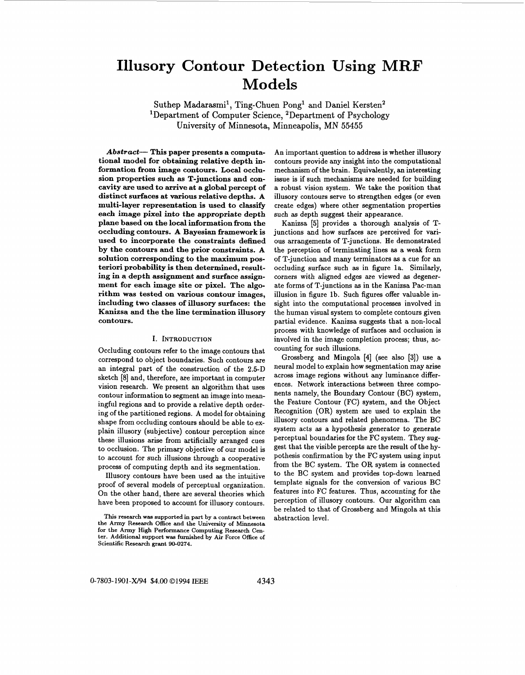# **Illusory Contour Detection Using MRF Models**

Suthep Madarasmi', Ting-Chuen Pong' and Daniel Kersten2 'Department of Computer Science, 2Department **of** Psychology University of Minnesota, Minneapolis, MN *55455* 

*Abstract-* **This paper presents a computational model for obtaining relative depth information from image contours. Local occlusion properties such as T-junctions and concavity are used to arrive at a global percept of distinct surfaces at various relative depths. A multi-layer representation is used to classify each image pixel into the appropriate depth plane based on the local information from the occluding contours. A Bayesian framework is used to incorporate the constraints defined by the contours and the prior constraints. A solution corresponding to the maximum posteriori probability is then determined, resulting in a depth assignment and surface assign**ment for each image site or pixel. The algo**rithm was tested on various contour images, including two classes of illusory surfaces: the Kanizsa and the the line termination illusory contours.** 

# **I. INTRODUCTION**

Occluding contours refer to the image contours that correspond to object boundaries. Such contours are an integral part of the construction of the **2.5-D**  sketch [8] and, therefore, are important in computer vision research. We present an algorithm that uses contour information to segment an image into meaningful regions and to provide a relative depth ordering of the partitioned regions. **A** model for obtaining shape from occluding contours should be able to explain illusory (subjective) contour perception since these illusions arise from artificially arranged cues to occlusion. The primary objective of our model is to account for such illusions through a cooperative process of computing depth and its segmentation.

Illusory contours have been used **as** the intuitive proof of several models of perceptual organization. On the other hand, there are several theories which have been proposed to account for illusory contours.

An important question to address is whether illusory contours provide any insight into the computational mechanism of the brain. Equivalently, an interesting issue is if such mechanisms are needed for building a robust vision system. We take the position that illusory contours serve to strengthen edges (or even create edges) where other segmentation properties such **as** depth suggest their appearance.

Kanizsa **[5]** provides a thorough analysis of Tjunctions and how surfaces are perceived for various arrangements of T-junctions. He demonstrated the perception of terminating lines **as** a weak form of T-junction and many terminators **as** a cue for an occluding surface such **as** in figure la. Similarly, corners with aligned edges are viewed **as** degenerate forms of T-junctions **as** in the Kanizsa Pac-man illusion in figure lb. Such figures offer valuable insight into the computational processes involved in the human visual system to complete contours given partial evidence. Kanizsa suggests that a non-local process with knowledge of surfaces and occlusion is involved in the image completion process; thus, accounting for such illusions.

Grossberg and Mingola **[4]** (see also **[3])** use a neural model to explain how segmentation may arise across image regions without any luminance differences. Network interactions between three components namely, the Boundary Contour (BC) system, the Feature Contour (FC) system, and the Object Recognition (OR) system are used to explain the illusory contours and related phenomena. The BC system acts **as** a hypothesis generator to generate perceptual boundaries for the FC system. They **sug**gest that the visible percepts are the result of the hypothesis confirmation by the FC system using input from the BC system. The OR system is connected to the BC system and provides top-down learned template signals for the conversion of various BC features into FC features. Thus, accounting for the perception of illusory contours. Our algorithm can be related to that of Grossberg and Mingola at this abstraction level.

**This research was supported in part by a contract between the Army Research Office and the University of Minnesota for the Army High Performance Computing Research Center. Additional support was furnished by Air Force Office of Scientific Research grant** 90-0274.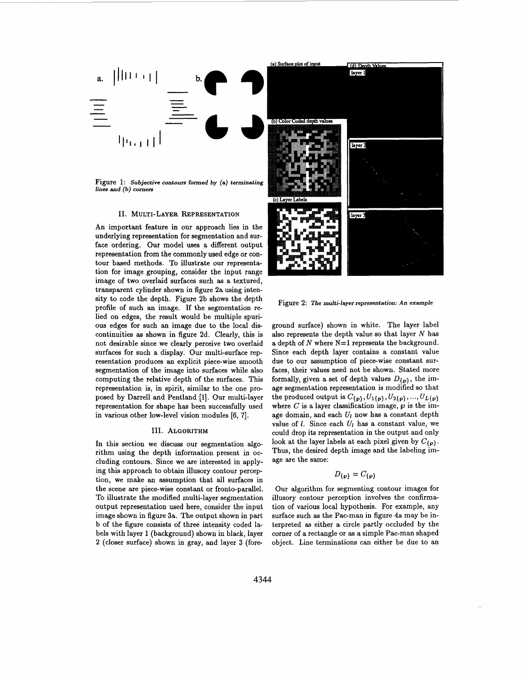

(c) Layer Label

**11. MULTI-LAYER REPRESENTATION** 

An important feature in our approach lies in the underlying representation for segmentation and surface ordering. Our model uses a different output representation from the commonly used edge or contour based methods. To illustrate our representation for image grouping, consider the input range image of two overlaid surfaces such **as** a textured, transparent cylinder shown in figure 2a using intensity to code the depth. Figure 2b shows the depth profile of such **an** image. If the segmentation **re**lied on edges, the result would be multiple spurious edges for such an image due to the local discontinuities **as** shown in figure 2d. Clearly, this is not desirable since we clearly perceive two overlaid surfaces for such a display. Our multi-surface representation produces an explicit piece-wise smooth segmentation of the image into surfaces while also computing the relative depth of the surfaces. This representation is, in spirit, similar to the one proposed by Darrell and Pentland [l]. Our multi-layer representation for shape has been successfully used in various other low-level vision modules [6, 71.

# **111. ALGORITHM**

In this section we discuss our segmentation algorithm using the depth information present in occluding contours. Since we are interested in applying this approach to obtain illusory contour perception, we make an assumption that all surfaces in the scene are piece-wise constant or fronto-parallel. To illustrate the modified multi-layer segmentation output representation used here, consider the input image shown in figure 3a. The output shown in part b of the figure consists of three intensity coded labels with layer **1** (background) shown in black, layer **2** (closer surface) shown in gray, and layer 3 (forealso represents the depth value so that layer *N* has a depth of *N* where **N=l** represents the background. Since each depth layer contains a constant value due to our assumption of piece-wise constant surfaces, their values need not be shown. Stated more formally, given a set of depth values  $D_{\{\wp\}}$ , the image segmentation representation is modified so that the produced output is  $C_{\{p\}}, U_{1\{p\}}, U_{2\{p\}}, ..., U_{L\{p\}}$ where  $C$  is a layer classification image,  $\rho$  is the image domain, and each  $U_l$  now has a constant depth value of  $l$ . Since each  $U_l$  has a constant value, we could drop its representation in the output and only look at the layer labels at each pixel given by  $C_{\{\phi\}}$ . Thus, the desired depth image and the labeling image are the same:

Figure **2: The multi-layer representation: An example** 

layer 3

ground surface) shown in white. The layer label

$$
D_{\{\rho\}} = C_{\{\rho\}}
$$

**Our** algorithm for segmenting contour images for illusory contour perception involves the confirmation of various local hypothesis. For example, any surface such **as** the Pac-man in figure 4a may be interpreted **as** either a circle partly occluded by the corner of a rectangle or **as** a simple Pac-man shaped object. Line terminations can either be due to an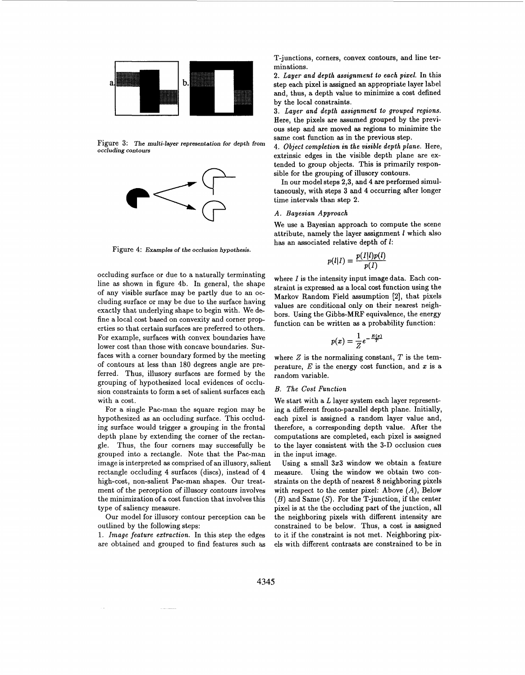

Figure *3: The multi-layer representation for depth from occluding contours* 



Figure 4: *Examples of the occlusion hypothesis.* 

occluding surface or due to a naturally terminating line **as** shown in figure 4b. In general, the shape of any visible surface may be partly due to an occluding surface or may be due to the surface having exactly that underlying shape to begin with. We define a local cost based on convexity and corner properties so that certain surfaces are preferred to others. For example, surfaces with convex boundaries have lower cost than those with concave boundaries. Surfaces with a corner boundary formed by the meeting of contours at less than 180 degrees angle are preferred. Thus, illusory surfaces are formed by the grouping of hypothesized local evidences of occlusion constraints to form a set of salient surfaces each with a cost.

For a single Pac-man the square region may be hypothesized **as** an occluding surface. This occluding surface would trigger **a** grouping in the frontal depth plane by extending the corner of the rectangle. Thus, the four corners may successfully be exteed into a rectangle. Note that the Pac-man in the input image.<br>image is interpreted as comprised of an illusory, salient Using a small 3x3 window we obtain a feature rectangle occluding 4 surfaces (discs), instead of **4**  high-cost, non-salient Pac-man shapes. Our treatment of the perception of illusory contours involves the minimization of a cost function that involves this type of saliency measure.

Our model for illusory contour perception can be outlined by the following steps:

**1.** *Image feature extraction.* In this step the edges are obtained and grouped to find features such **as**  T-junctions, corners, convex contours, and line terminations.

2. *Layer and depth assignment to each pixel.* In this step each pixel is assigned an appropriate layer label and, thus, a depth value to minimize a cost defined by the local constraints.

*3. Layer and depth assignment to grouped regions.*  Here, the pixels are assumed grouped by the previous step and are moved **as** regions to minimize the same cost function **as** in the previous step.

4. *Object completion in the visible depth plane.* Here, extrinsic edges in the visible depth plane are extended to group objects. This is primarily responsible for the grouping of illusory contours.

In our model steps **2,3,** and **4** are performed simultaneously, with steps *3* and **4** occurring after longer time intervals than step **2.** 

### *A. Bayesian Approach*

We use a Bayesian approach to compute the scene attribute, namely the layer assignment *l* which also has an associated relative depth of *I:* 

$$
p(l|I) = \frac{p(I|l)p(l)}{p(I)}
$$

where *I* is the intensity input image data. Each constraint is expressed **as** a local cost function using the Markov Random Field assumption [2], that pixels values are conditional only on their nearest neighbors. Using the Gibbs-MRF equivalence, the energy function can be written **as** a probability function:

$$
p(x)=\frac{1}{Z}e^{-\frac{E(x)}{T}}
$$

where  $Z$  is the normalizing constant,  $T$  is the temperature, *E* is the energy cost function, and *x* is a random variable.

# *B. The Cost Function*

We start with a *L* layer system each layer representing a different fronto-parallel depth plane. Initially, each pixel is assigned a random layer value and, therefore, a corresponding depth value. After the computations are completed, each pixel is assigned to the layer consistent with the **3-D** occlusion cues

measure. Using the window we obtain two constraints on the depth of nearest 8 neighboring pixels with respect to the center pixel: Above *(A),* Below *(B)* and Same (S). For the T-junction, if the center pixel is at the the occluding part of the junction, all the neighboring pixels with different intensity are constrained to be below. Thus, a cost is assigned to it if the constraint is not met. Neighboring pixels with different contrasts are constrained to be in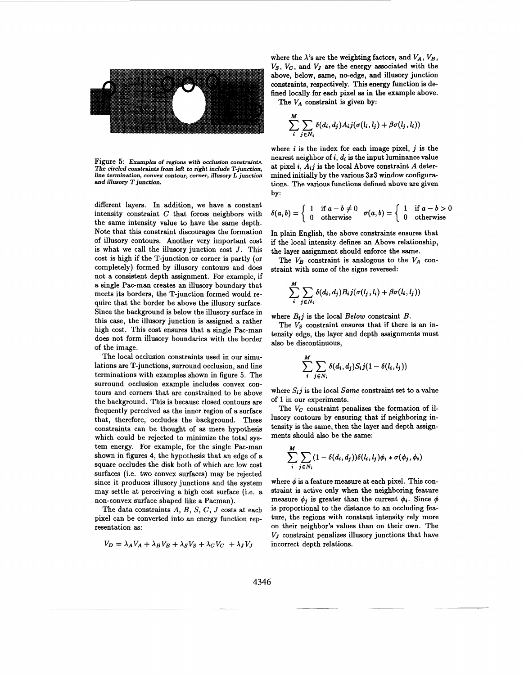

Figure 5: *Examples of* **regions** *with occlusion constraints. The circled constraints from left to right include T-junction, line termination, convex contour, corner, illusory L junction and illusory T junction.* 

different layers. In addition, we have a constant intensity constraint *C* that forces neighbors with the same intensity value to have the same depth. Note that this constraint discourages the formation of illusory contours. Another very important cost is what we call the illusory junction cost *J.* This cost is high if the T-junction or corner is partly (or completely) formed by illusory contours and does not a consistent depth assignment. For example, if a single Pac-man creates an illusory boundary that meets its borders, the T-junction formed would require that the border be above the illusory surface. Since the background is below the illusory surface in this case, the illusory junction is assigned a rather high cost. This cost ensures that a single Pac-man does not form illusory boundaries with the border of the image.

The local occlusion constraints used in our simulations are T-junctions, surround occlusion, and line terminations with examples shown in figure 5. The surround occlusion example includes convex contours and corners that are constrained to be above the background. This is because closed contours are frequently perceived **as** the inner region of a surface that, therefore, occludes the background. These constraints can be thought of **as** mere hypothesis which could be rejected to minimize the total system energy. For example, for the single Pac-man shown in figures **4,** the hypothesis that an edge of a square occludes the disk both of which are low cost surfaces (i.e. two convex surfaces) may be rejected since it produces illusory junctions and the system may settle at perceiving a high cost surface (i.e. a non-convex surface shaped like a Pacman).

The data constraints A, B, S, C, J costs at each pixel can be converted into an energy function representation **as:** 

$$
V_D = \lambda_A V_A + \lambda_B V_B + \lambda_S V_S + \lambda_C V_C + \lambda_J V_J
$$

where the  $\lambda$ 's are the weighting factors, and  $V_A$ ,  $V_B$ ,  $V_S$ ,  $V_C$ , and  $V_J$  are the energy associated with the above, below, same, no-edge, and illusory junction constraints, respectively. This energy function is defined locally for each pixel **as in** the example above.

The *VA* constraint is given **by:** 

$$
\sum_{i}^{M} \sum_{j \in N_i} \delta(d_i, d_j) A_i j(\sigma(l_i, l_j) + \beta \sigma(l_j, l_i))
$$

where  $i$  is the index for each image pixel,  $j$  is the nearest neighbor of *i, di* is the input luminance value at pixel *i,*  $A_i j$  is the local Above constraint A determined initially by the various *3x3* window configurations. The various functions defined above are given by:

$$
\delta(a,b) = \left\{ \begin{array}{ll} 1 & \text{if } a-b \neq 0 \\ 0 & \text{otherwise} \end{array} \right. \quad \sigma(a,b) = \left\{ \begin{array}{ll} 1 & \text{if } a-b > 0 \\ 0 & \text{otherwise} \end{array} \right.
$$

**In** plain English, the above constraints ensures that if the local intensity defines an Above relationship, the layer assignment should enforce the same.

The  $V_B$  constraint is analogous to the  $V_A$  constraint with some of the signs reversed:

$$
\sum_{i}^{M} \sum_{j \in N_i} \delta(d_i, d_j) B_i j(\sigma(l_j, l_i) + \beta \sigma(l_i, l_j))
$$

where  $B_{i}j$  is the local *Below* constraint  $B$ .

The  $V_S$  constraint ensures that if there is an intensity edge, the layer and depth assignments must also be discontinuous,

$$
\sum_i^M \sum_{j \in N_i} \delta(d_i, d_j) S_i j(1 - \delta(l_i, l_j))
$$

where  $S_{i}j$  is the local *Same* constraint set to a value of **1** in our experiments.

The  $V_C$  constraint penalizes the formation of illusory contours by ensuring that if neighboring intensity is the same, then the layer and depth assignments should also be the same:

$$
\sum_{i}^{M} \sum_{j \in N_i} (1 - \delta(d_i, d_j)) \delta(l_i, l_j) \phi_i * \sigma(\phi_j, \phi_i)
$$

where  $\phi$  is a feature measure at each pixel. This constraint is active only when the neighboring feature measure  $\phi_j$  is greater than the current  $\phi_i$ . Since  $\phi$ is proportional to the distance to an occluding feature, the regions with constant intensity rely more on their neighbor's values than on their own. The *VJ* constraint penalizes illusory junctions that have incorrect depth relations.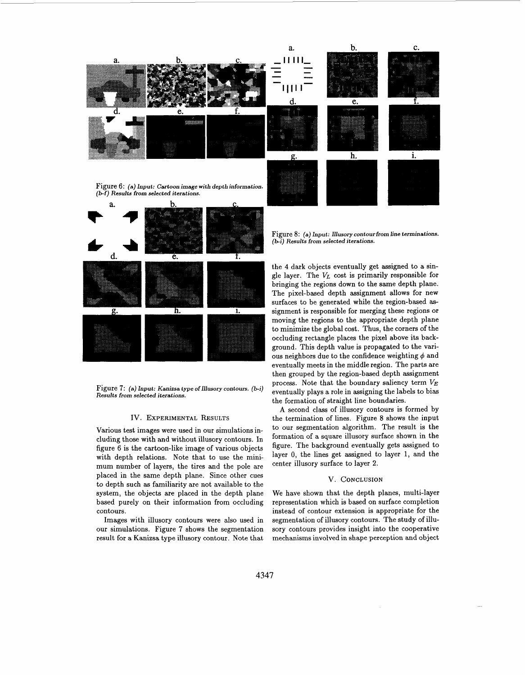

Figure 8: (a) Input: Illusory contour from line terminations. (b-i) Results from selected iterations.

the **4** dark objects eventually get assigned to a single layer. The  $V_L$  cost is primarily responsible for bringing the regions down to the same depth plane. The pixel-based depth assignment allows for new surfaces to be generated while the region-based **as**signment is responsible for merging these regions or moving the regions to the appropriate depth plane to minimize the global cost. Thus, the corners of the occluding rectangle places the pixel above its background. This depth value is propagated to the various neighbors due to the confidence weighting  $\phi$  and eventually meets in the middle region. The parts are then grouped by the region-based depth assignment Figure 7: *(a) Input: Kanizsa type of Illusory contours. <i>(b-i)* process. Note that the boundary saliency term  $V_E$ <br>Results from selected iterations. *eventually plays a role in assigning the labels to bias* the formation of straight line boundaries.

**A** second class of illusory contours is formed by JV. **EXPERIMENTAL RESULTS** the termination of lines. Figure 8 shows the input to our segmentation algorithm. The result is the formation of a square illusory surface shown in the figure. The background eventually gets assigned to layer 0, the lines get assigned to layer 1, and the center illusory surface to layer 2.

#### V. **CONCLUSION**

We have shown that the depth planes, multi-layer representation which is based on surface completion instead of contour extension is appropriate for the segmentation of illusory contours. The study of illusory contours provides insight into the cooperative mechanisms involved in shape perception and object

ē.

ħ.

ī.

 $\overline{\mathbf{p}}$ 

Various test images were used in our simulations including those with and without illusory contours. In figure 6 is the cartoon-like image of various objects with depth relations. Note that to use the minimum number of layers, the tires and the pole are placed in the same depth plane. Since other cues to depth such **as** familiarity are not available to the system, the objects are placed in the depth plane based purely on their information from occluding contours.

Images with illusory contours were also used in our simulations. Figure 7 shows the segmentation result for a Kanizsa type illusory contour. Note that